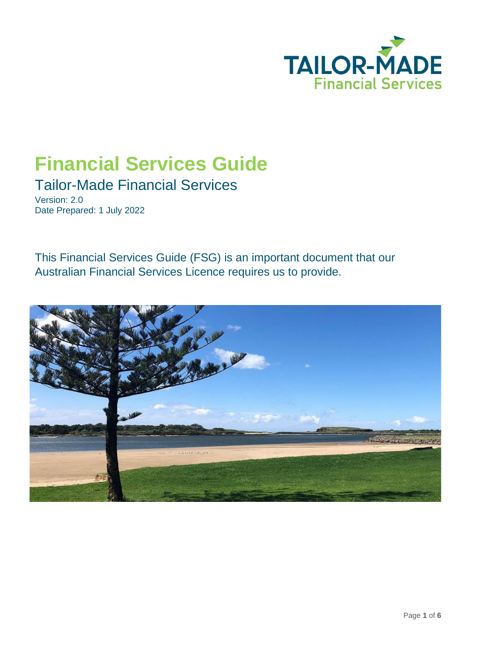

# **Financial Services Guide**

Tailor-Made Financial Services

Version: 2.0 Date Prepared: 1 July 2022

This Financial Services Guide (FSG) is an important document that our Australian Financial Services Licence requires us to provide.

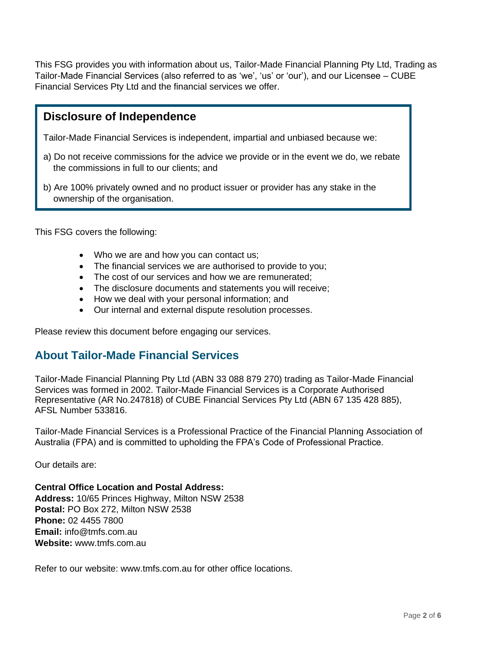This FSG provides you with information about us, Tailor-Made Financial Planning Pty Ltd, Trading as Tailor-Made Financial Services (also referred to as 'we', 'us' or 'our'), and our Licensee – CUBE Financial Services Pty Ltd and the financial services we offer.

## **Disclosure of Independence**

Tailor-Made Financial Services is independent, impartial and unbiased because we:

- a) Do not receive commissions for the advice we provide or in the event we do, we rebate the commissions in full to our clients; and
- b) Are 100% privately owned and no product issuer or provider has any stake in the ownership of the organisation.

This FSG covers the following:

- Who we are and how you can contact us;
- The financial services we are authorised to provide to you;
- The cost of our services and how we are remunerated;
- The disclosure documents and statements you will receive;
- How we deal with your personal information; and
- Our internal and external dispute resolution processes.

Please review this document before engaging our services.

## **About Tailor-Made Financial Services**

Tailor-Made Financial Planning Pty Ltd (ABN 33 088 879 270) trading as Tailor-Made Financial Services was formed in 2002. Tailor-Made Financial Services is a Corporate Authorised Representative (AR No.247818) of CUBE Financial Services Pty Ltd (ABN 67 135 428 885), AFSL Number 533816.

Tailor-Made Financial Services is a Professional Practice of the Financial Planning Association of Australia (FPA) and is committed to upholding the FPA's Code of Professional Practice.

Our details are:

**Central Office Location and Postal Address: Address:** 10/65 Princes Highway, Milton NSW 2538 **Postal:** PO Box 272, Milton NSW 2538 **Phone:** 02 4455 7800 **Email:** info@tmfs.com.au **Website:** www.tmfs.com.au

Refer to our website: www.tmfs.com.au for other office locations.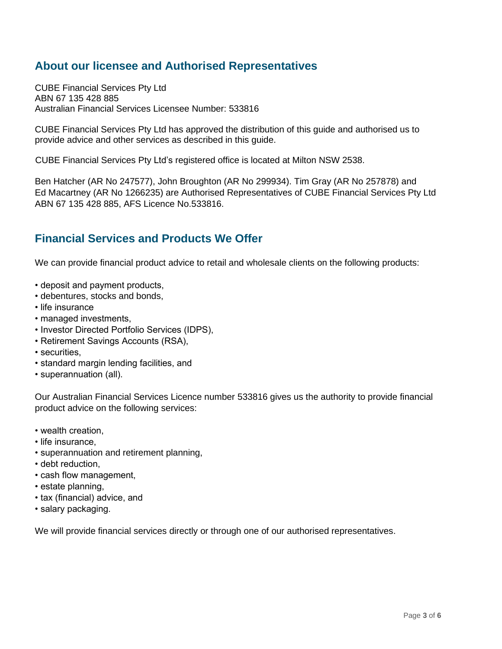# **About our licensee and Authorised Representatives**

CUBE Financial Services Pty Ltd ABN 67 135 428 885 Australian Financial Services Licensee Number: 533816

CUBE Financial Services Pty Ltd has approved the distribution of this guide and authorised us to provide advice and other services as described in this guide.

CUBE Financial Services Pty Ltd's registered office is located at Milton NSW 2538.

Ben Hatcher (AR No 247577), John Broughton (AR No 299934). Tim Gray (AR No 257878) and Ed Macartney (AR No 1266235) are Authorised Representatives of CUBE Financial Services Pty Ltd ABN 67 135 428 885, AFS Licence No.533816.

## **Financial Services and Products We Offer**

We can provide financial product advice to retail and wholesale clients on the following products:

- deposit and payment products,
- debentures, stocks and bonds,
- life insurance
- managed investments,
- Investor Directed Portfolio Services (IDPS),
- Retirement Savings Accounts (RSA),
- securities,
- standard margin lending facilities, and
- superannuation (all).

Our Australian Financial Services Licence number 533816 gives us the authority to provide financial product advice on the following services:

- wealth creation,
- life insurance,
- superannuation and retirement planning,
- debt reduction,
- cash flow management,
- estate planning,
- tax (financial) advice, and
- salary packaging.

We will provide financial services directly or through one of our authorised representatives.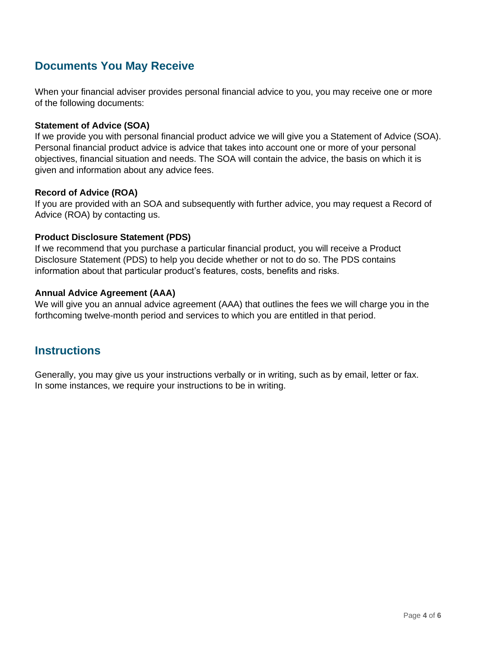# **Documents You May Receive**

When your financial adviser provides personal financial advice to you, you may receive one or more of the following documents:

#### **Statement of Advice (SOA)**

If we provide you with personal financial product advice we will give you a Statement of Advice (SOA). Personal financial product advice is advice that takes into account one or more of your personal objectives, financial situation and needs. The SOA will contain the advice, the basis on which it is given and information about any advice fees.

#### **Record of Advice (ROA)**

If you are provided with an SOA and subsequently with further advice, you may request a Record of Advice (ROA) by contacting us.

#### **Product Disclosure Statement (PDS)**

If we recommend that you purchase a particular financial product, you will receive a Product Disclosure Statement (PDS) to help you decide whether or not to do so. The PDS contains information about that particular product's features, costs, benefits and risks.

#### **Annual Advice Agreement (AAA)**

We will give you an annual advice agreement (AAA) that outlines the fees we will charge you in the forthcoming twelve-month period and services to which you are entitled in that period.

## **Instructions**

Generally, you may give us your instructions verbally or in writing, such as by email, letter or fax. In some instances, we require your instructions to be in writing.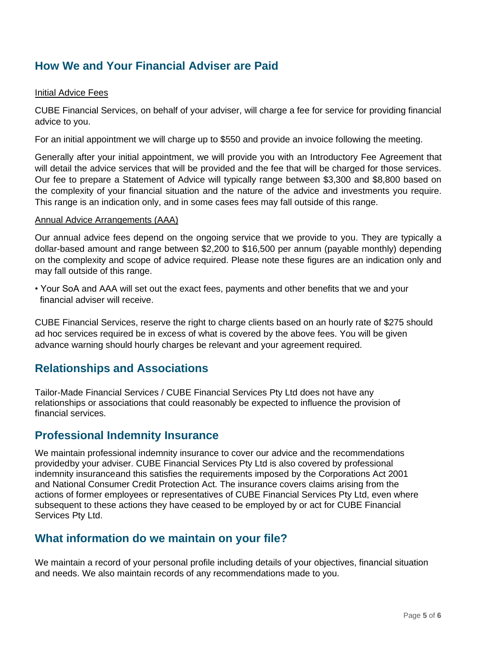# **How We and Your Financial Adviser are Paid**

#### Initial Advice Fees

CUBE Financial Services, on behalf of your adviser, will charge a fee for service for providing financial advice to you.

For an initial appointment we will charge up to \$550 and provide an invoice following the meeting.

Generally after your initial appointment, we will provide you with an Introductory Fee Agreement that will detail the advice services that will be provided and the fee that will be charged for those services. Our fee to prepare a Statement of Advice will typically range between \$3,300 and \$8,800 based on the complexity of your financial situation and the nature of the advice and investments you require. This range is an indication only, and in some cases fees may fall outside of this range.

#### Annual Advice Arrangements (AAA)

Our annual advice fees depend on the ongoing service that we provide to you. They are typically a dollar-based amount and range between \$2,200 to \$16,500 per annum (payable monthly) depending on the complexity and scope of advice required. Please note these figures are an indication only and may fall outside of this range.

• Your SoA and AAA will set out the exact fees, payments and other benefits that we and your financial adviser will receive.

CUBE Financial Services, reserve the right to charge clients based on an hourly rate of \$275 should ad hoc services required be in excess of what is covered by the above fees. You will be given advance warning should hourly charges be relevant and your agreement required.

## **Relationships and Associations**

Tailor-Made Financial Services / CUBE Financial Services Pty Ltd does not have any relationships or associations that could reasonably be expected to influence the provision of financial services.

### **Professional Indemnity Insurance**

We maintain professional indemnity insurance to cover our advice and the recommendations providedby your adviser. CUBE Financial Services Pty Ltd is also covered by professional indemnity insuranceand this satisfies the requirements imposed by the Corporations Act 2001 and National Consumer Credit Protection Act. The insurance covers claims arising from the actions of former employees or representatives of CUBE Financial Services Pty Ltd, even where subsequent to these actions they have ceased to be employed by or act for CUBE Financial Services Pty Ltd.

## **What information do we maintain on your file?**

We maintain a record of your personal profile including details of your objectives, financial situation and needs. We also maintain records of any recommendations made to you.